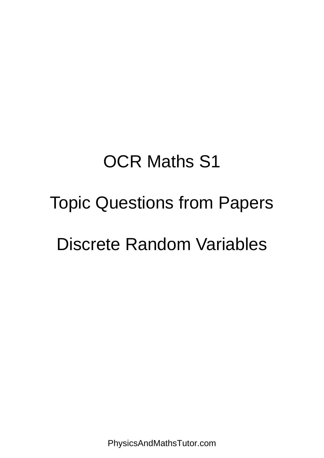# OCR Maths S1

## Topic Questions from Papers

### Discrete Random Variables

PhysicsAndMathsTutor.com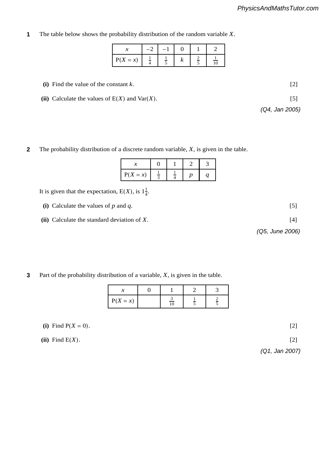**4** The table below shows the probability distribution of the random variable *X*. **1 (iii)** In the se arrangements are all three Ds together? [2]  $\frac{1}{2}$ 

| $\mathcal{X}$                              | $-2$ | $-1$ |        | -                        |
|--------------------------------------------|------|------|--------|--------------------------|
| $P(X = x)$ $\frac{1}{4}$ $\frac{1}{5}$ $k$ |      |      | $\sim$ | $rac{2}{5}$ $rac{1}{10}$ |

(i) Find the value of the constant  $k$ . [2]

(ii) Calculate the values of  $E(X)$  and  $Var(X)$ . [5]  $p_1$   $p_2$   $p_3$   $p_4$   $p_5$   $p_6$   $p_7$   $p_8$   $p_9$   $p_9$   $p_9$ .  $p_9$   $p_8$ . [2]

| The probability distribution of a discrete random variable, $X$ , is given in the table. |  |
|------------------------------------------------------------------------------------------|--|
|------------------------------------------------------------------------------------------|--|

| $\boldsymbol{\chi}$                          | $\mathbf{0}$ | $\begin{array}{ c c c c c c } \hline 1 & 2 \\ \hline \end{array}$ |  |
|----------------------------------------------|--------------|-------------------------------------------------------------------|--|
| $ P(X = x)  = \frac{1}{3} = \frac{1}{4} = p$ |              |                                                                   |  |

It is given that the expectation,  $E(X)$ , is  $1\frac{1}{4}$ .

| (i) Calculate the values of $p$ and $q$ .      | 5               |
|------------------------------------------------|-----------------|
| (ii) Calculate the standard deviation of $X$ . | 14 I            |
|                                                | (Q5, June 2006) |

physicsandmathstutor.com

**3** Part of the probability distribution of a variable,  $X$ , is given in the table. **3**

| $\sim$     |                                             |                                |   |
|------------|---------------------------------------------|--------------------------------|---|
| $P(X = x)$ | $\overline{\phantom{a}}$<br>$\overline{10}$ | $\overline{\phantom{a}}$<br>÷. | ≃ |

(i) Find  $P(X = 0)$ . [2]

**(ii)** Find E(*X*). [2]

4732/Jan05 **[Turn over** *(Q1, Jan 2007)*

*(Q4, Jan 2005)* **(ii)** The random variable *Y* has the distribution B(10, 0.27). Find P(*Y* = 3). [2]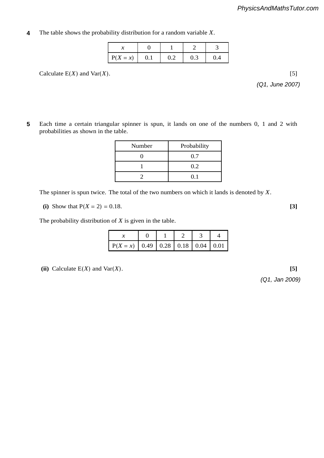**1** The table shows the probability distribution for a random variable *X*. **4**

| $P(X = x)$ |  | 0.3 | 0.4 |
|------------|--|-----|-----|

Calculate  $E(X)$  and  $Var(X)$ . [5]

**5**

*(Q1, June 2007)*

|   |                                                                                         |        | physicsandmathstutor.com |             |  |                                                |  |
|---|-----------------------------------------------------------------------------------------|--------|--------------------------|-------------|--|------------------------------------------------|--|
|   |                                                                                         |        |                          |             |  |                                                |  |
| 5 | Each time a certain triangular spinner is spun,<br>probabilities as shown in the table. |        |                          |             |  | it lands on one of the numbers 0, 1 and 2 with |  |
|   |                                                                                         | Number |                          | Probability |  |                                                |  |

| Number | Probability |
|--------|-------------|
|        | -<br>U.,    |
|        | 0.2         |
|        | U.I         |

 $\Gamma$  for spinner is spun twice. The total of the two numbers on which it lands is denoted by  $V$ The spinner is spun twice. The total of the two numbers on which it lands is denoted by *X*.

(i) Show that 
$$
P(X = 2) = 0.18
$$
. [3]

 $\alpha$  **The probability distribution of Y** is given in the table The probability distribution of  $X$  is given in the table.

| $\mathbf{r}$                                       |  |  |  |
|----------------------------------------------------|--|--|--|
| $\mid$ P(X = x)   0.49   0.28   0.18   0.04   0.01 |  |  |  |

(ii) Calculate  $E(X)$  and  $Var(X)$ . [5]

 $\mathbf{C}$  through disc the first disc the first disc was blue,  $\mathbf{C}$ *(Q1, Jan 2009)*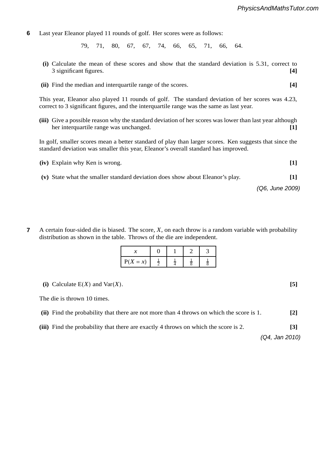**6** Last year Eleanor played 11 rounds of golf. Her scores were as follows: **6**

79, 71, 80, 67, 67, 74, 66, 65, 71, 66, 64. 74

- (i) Calculate the mean of these scores and show that the standard deviation is 5.31, correct to 3 significant figures. **[4]**
- (ii) Find the median and interquartile range of the scores. [4]

This year, Eleanor also played 11 rounds of golf. The standard deviation of her scores was 4.23, correct to 3 significant figures, and the interquartile range was the same as last year.

**(iii)** Give a possible reason why the standard deviation of her scores was lower than last year although her interquartile range was unchanged. **[1]**

In golf, smaller scores mean a better standard of play than larger scores. Ken suggests that since the standard deviation was smaller this year, Eleanor's overall standard has improved.  $\overline{\text{q}}$ 

| (iv) Explain why Ken is wrong.                                                | $\blacksquare$    |
|-------------------------------------------------------------------------------|-------------------|
| (v) State what the smaller standard deviation does show about Eleanor's play. | $\lceil 1 \rceil$ |

*(Q6, June 2009)*

A certain four-sided die is biased. The score,  $X$ , on each throw is a random variable with probability distribution as shown in the table. Throws of the die are independent. **7**

| $\mathcal{X}$                                        | $\overline{0}$ | ⌒<br>$\overline{\phantom{0}}$ |  |
|------------------------------------------------------|----------------|-------------------------------|--|
| $P(X = x)$ $\frac{1}{2}$ $\frac{1}{4}$ $\frac{1}{8}$ | ∸              |                               |  |

**(i)** Calculate E(*X*) and Var(*X*). **[5]**

The die is thrown 10 times.

|  | (ii) Find the probability that there are not more than 4 throws on which the score is 1. | $[2]$ |
|--|------------------------------------------------------------------------------------------|-------|
|--|------------------------------------------------------------------------------------------|-------|

**(iii)** Find the probability that there are exactly 4 throws on which the score is 2. **[3]**

*(Q4, Jan 2010)*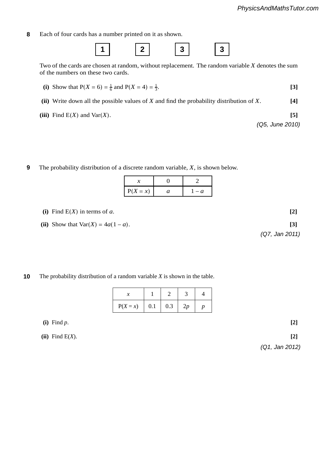**8** Each of four cards has a number printed on it as shown. **8**



Two of the cards are chosen at random, without replacement. The random variable  $X$  denotes the sum of the numbers on these two series of the numbers on these two cards.

- **(i)** Show that  $P(X = 6) = \frac{1}{6}$  and  $P(X = 4) = \frac{1}{3}$ .  $\frac{1}{3}$ . [3]
- **(ii)** Write down all the possible values of *X* and find the probability distribution of *X*. **[4]**

(iii) Find  $E(X)$  and  $Var(X)$ . [5]  $\bf{Y}$ 

*(Q5, June 2010)* From these cards, 3 white cards and 4 grey cards are selected at random **without** regard to order.

**9** The probability distribution of a discrete random variable, *X*, is shown below. **9**

| $P(X = x)$ | a |
|------------|---|

(i) Find  $E(X)$  in terms of *a*.  $[2]$ 

(ii) Show that  $\text{Var}(X) = 4a(1 - a)$ . [3]

### physicsandmathstutor.com

### was found to be −1. Write down the order in which the dogs finished the second race. **[1] 1** The probability distribution of a random variable *X* is shown in the table. **10**

| r | $\pm$ 1 $\pm$                   |  |  |
|---|---------------------------------|--|--|
|   | $P(X = x)$   0.1   0.3   2p   p |  |  |

race. **[2] (i)** Find *p*. **[2]**

 **(ii)** Find E(*X*). **[2]**

*(Q1, Jan 2012)*

*(Q7, Jan 2011)*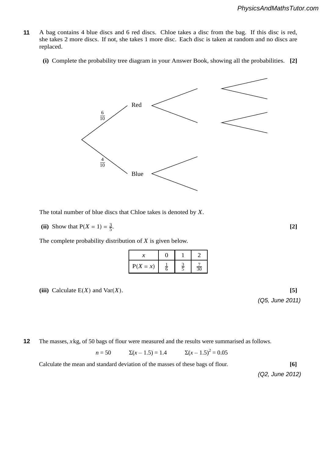- **5** A bag contains 4 blue discs and 6 red discs. Chloe takes a disc from the bag. If this disc is red, she takes 2 more discs. If not, she takes 1 more disc. Each disc is taken at random and no discs are replaced. **11**
	- **(i)** Complete the probability tree diagram in your Answer Book, showing all the probabilities. **[2]**



The total number of blue discs that Chloe takes is denoted by *X*.

**(ii)** Show that  $P(X = 1) = \frac{3}{5}$ .  $\frac{3}{5}$ . **[2]**  $\frac{1}{5}$ .

The complete probability distribution of  $X$  is given below.

| $\sim$<br>$\lambda$ |                                                      | $\sim$<br>-    |
|---------------------|------------------------------------------------------|----------------|
| $P(X = x)$          | $\sim$<br>$\frac{1}{6}$ $\frac{3}{5}$ $\frac{7}{30}$ | $\overline{ }$ |

(iii) Calculate  $E(X)$  and  $Var(X)$ . [5]

*(Q5, June 2011)* estimate. **[4]**

 $\mathbf{F}$  Tom  $\mathbf{F}$  students include Tom and  $\mathbf{F}$  include Tom and  $\mathbf{F}$  and  $\mathbf{F}$  is next to  $\mathbf{F}$  and  $\mathbf{F}$  is next to  $\mathbf{F}$  and  $\mathbf{F}$  is next to  $\mathbf{F}$  is next to  $\mathbf{F}$  is next to  $\mathbf{F}$  i **2** The masses, *x* kg, of 50 bags of flour were measured and the results were summarised as follows. **12**

> $n = 50$   $\Sigma(x - 1.5) = 1.4$  $\Sigma(x - 1.5)^2 = 0.05$

Calculate the mean and standard deviation of the masses of these bags of flour. **[6]**

**(a)** no two boys sit next to each other, **[2]** *(Q2, June 2012)*